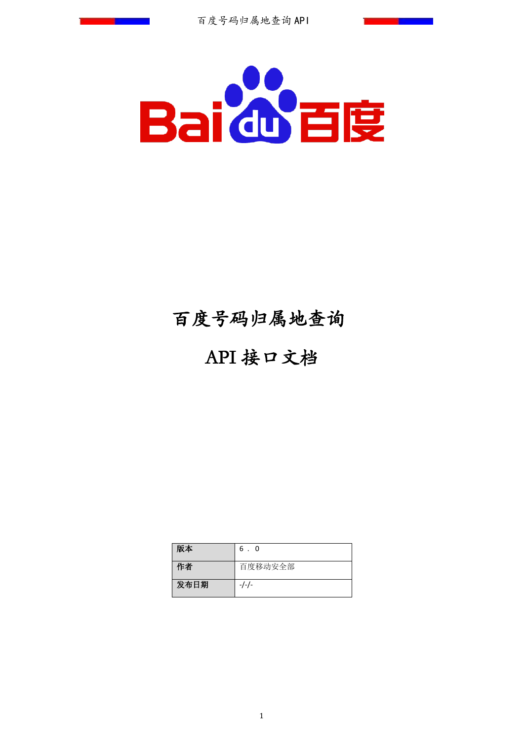

# 百度号码归属地查询

# API 接口文档

| 版本   | 6.<br>$\overline{0}$ |
|------|----------------------|
| 作者   | 百度移动安全部              |
| 发布日期 | -/-/-                |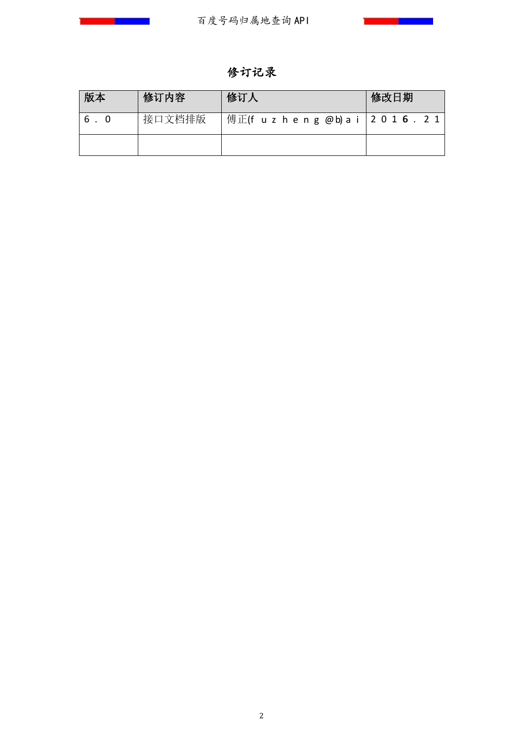**Contract Contract Contract Contract** 

修订记录

| 版本  | 修订内容   | 修订人                                      | 修改日期 |
|-----|--------|------------------------------------------|------|
| 6.0 | 接口文档排版 | 傅正(f u z h e n g @b) a i   2 0 1 6 . 2 1 |      |
|     |        |                                          |      |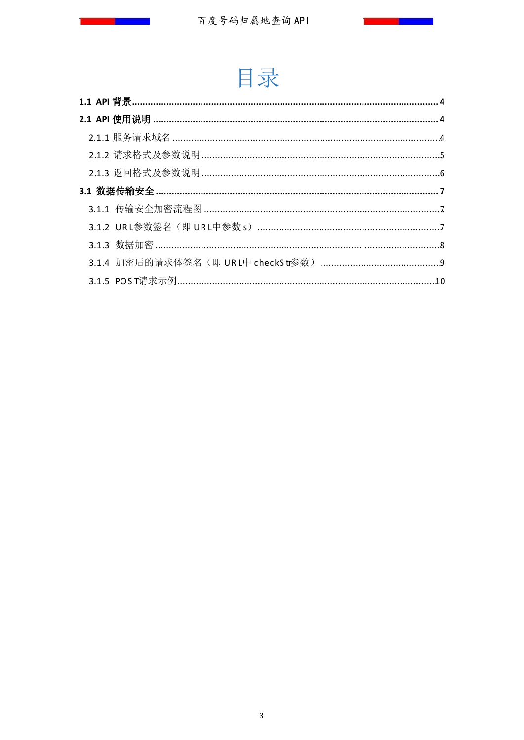$\blacksquare$ 



**Contract Contract Contract Contract**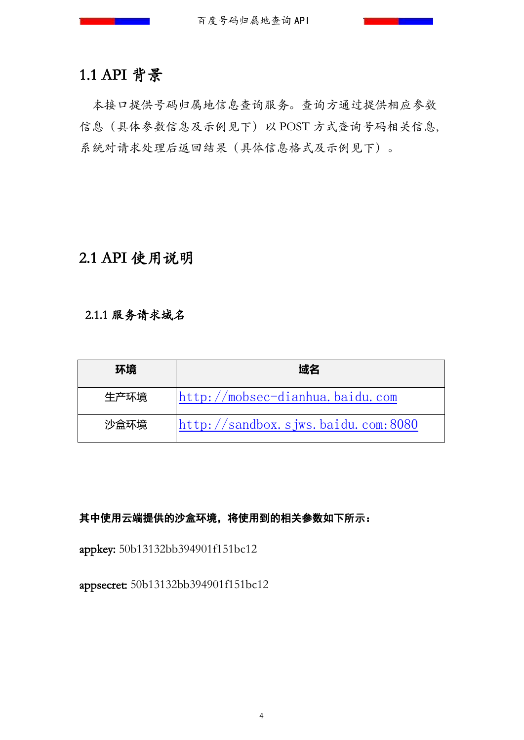# 1.1 API 背景

本接口提供号码归属地信息查询服务。查询方通过提供相应参数 信息(具体参数信息及示例见下)以 POST 方式查询号码相关信息, 系统对请求处理后返回结果(具体信息格式及示例见下)。

# 2.1 API 使用说明

#### 2.1.1 服务请求域名

| 环境   | 域名                                               |
|------|--------------------------------------------------|
| 生产环境 | http://mobsec-dianhua.baidu.com                  |
| 沙盒环境 | $\frac{h}{t}$ http://sandbox.sjws.baidu.com:8080 |

#### 其中使用云端提供的沙盒环境,将使用到的相关参数如下所示:

appkey: 50b13132bb394901f151bc12

appsecret: 50b13132bb394901f151bc12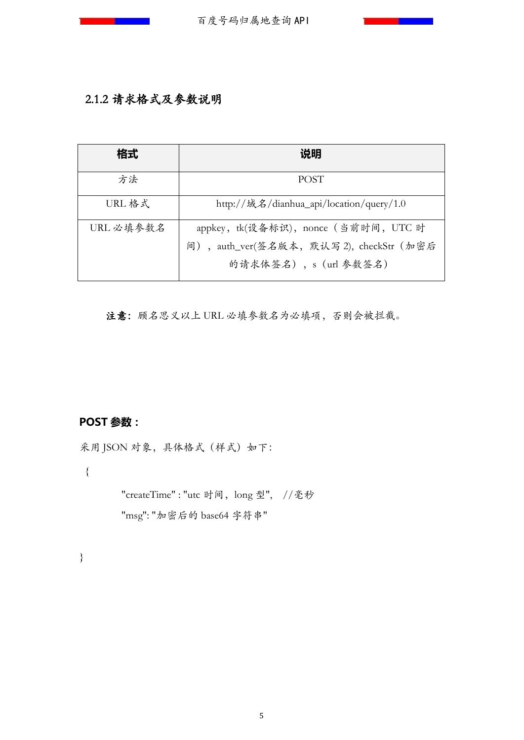## 2.1.2 请求格式及参数说明

| 格式        | 说明                                                                                                        |
|-----------|-----------------------------------------------------------------------------------------------------------|
| 方法        | <b>POST</b>                                                                                               |
| URL 格式    | http://域名/dianhua_api/location/query/1.0                                                                  |
| URL 必填参数名 | appkey, tk(设备标识), nonce (当前时间, UTC 时<br>间), auth_ver(签名版本, 默认写 2), checkStr (加密后<br>的请求体签名), s (url 参数签名) |

注意:顾名思义以上 URL 必填参数名为必填项,否则会被拦截。

# **POST 参数:**

采用 JSON 对象,具体格式 (样式) 如下:

{

"createTime": "utc 时间, long 型", //毫秒 "msg": "加密后的 base64 字符串"

}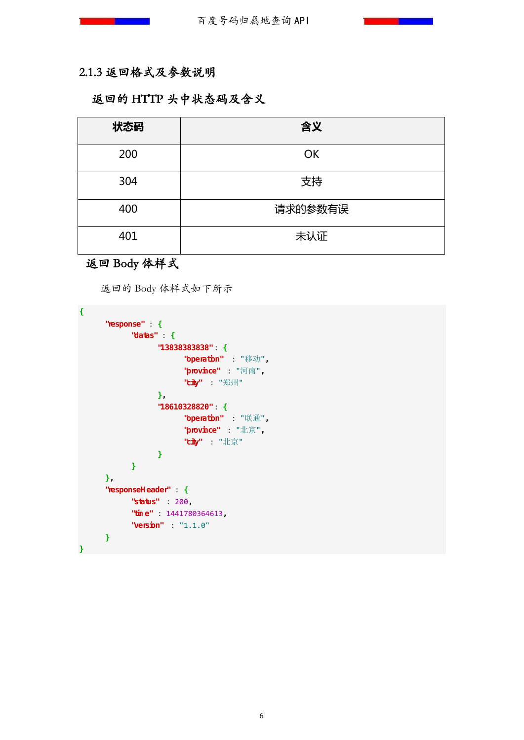## 2.1.3 返回格式及参数说明

## 返回的 HTTP 头中状态码及含义

| 状态码 | 含义        |
|-----|-----------|
| 200 | <b>OK</b> |
| 304 | 支持        |
| 400 | 请求的参数有误   |
| 401 | 未认证       |

# 返回 Body 体样式

返回的 Body 体样式如下所示

| "response"       | : {                     |
|------------------|-------------------------|
| "datas"          | : {                     |
|                  | "13838383838"<br>$: \{$ |
|                  | "operation"<br>: "移动",  |
|                  | : "河南",<br>"province"   |
|                  | "city"<br>: "郑州"        |
|                  | },                      |
|                  | "18610328820"<br>: {    |
|                  | "operation"<br>: "联通",  |
|                  | : "北京",<br>"province"   |
|                  | "city": "北京"            |
|                  | ∤                       |
| }                |                         |
| },               |                         |
| "responseHeader" | : {                     |
| "status"         | : 200                   |
| "time"           | : 1441780364613         |
| "version"        | : "1.1.0"               |
| }                |                         |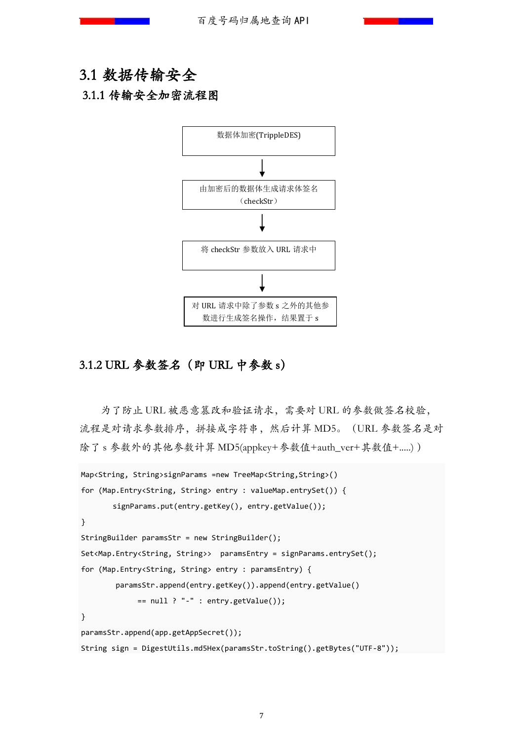# 3.1 数据传输安全

#### 3.1.1 传输安全加密流程图



#### 3.1.2 URL 参数签名(即 URL 中参数 s)

为了防止 URL 被恶意篡改和验证请求,需要对 URL 的参数做签名校验, 流程是对请求参数排序,拼接成字符串,然后计算 MD5。(URL 参数签名是对 除了 s 参数外的其他参数计算 MD5(appkey+参数值+auth\_ver+其数值+.....) )

```
Map<String, String>signParams =new TreeMap<String,String>() 
for (Map.Entry<String, String> entry : valueMap.entrySet()) {
       signParams.put(entry.getKey(), entry.getValue());
}
StringBuilder paramsStr = new StringBuilder();
Set<Map.Entry<String, String>> paramsEntry = signParams.entrySet(); 
for (Map.Entry<String, String> entry : paramsEntry) {
         paramsStr.append(entry.getKey()).append(entry.getValue() 
             == null ? "-" : entry.getValue());
}
paramsStr.append(app.getAppSecret());
String sign = DigestUtils.md5Hex(paramsStr.toString().getBytes("UTF-8"));
```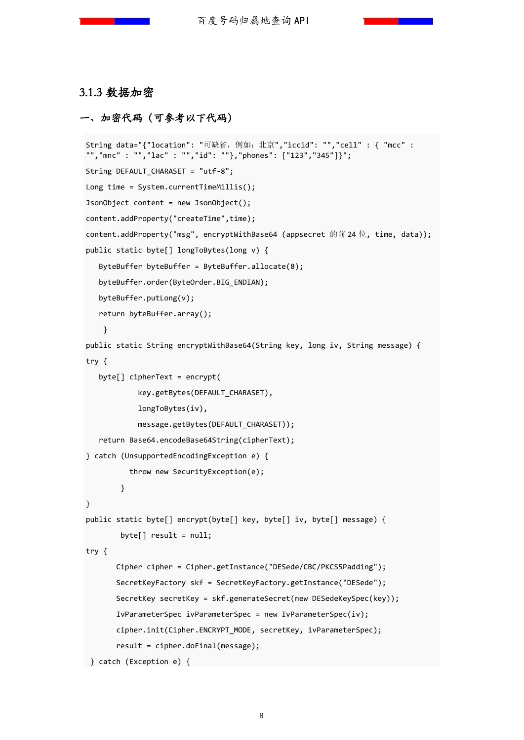#### 3.1.3 数据加密

#### 一、加密代码(可参考以下代码)

```
String data="{"location": "可缺省,例如:北京","iccid": "","cell" : { "mcc" : 
"","mnc" : "","lac" : "","id": ""},"phones": ["123","345"]}";
String DEFAULT_CHARASET = "utf-8";
Long time = System.currentTimeMillis();
JsonObject content = new JsonObject();
content.addProperty("createTime",time);
content.addProperty("msg", encryptWithBase64 (appsecret 的前 24 位, time, data));
public static byte[] longToBytes(long v) {
    ByteBuffer byteBuffer = ByteBuffer.allocate(8);
   byteBuffer.order(ByteOrder.BIG_ENDIAN);
   byteBuffer.putLong(v);
   return byteBuffer.array();
     }
public static String encryptWithBase64(String key, long iv, String message) {
try {
   byte[] cipherText = encrypt(
             key.getBytes(DEFAULT_CHARASET), 
             longToBytes(iv), 
             message.getBytes(DEFAULT_CHARASET));
   return Base64.encodeBase64String(cipherText);
} catch (UnsupportedEncodingException e) {
           throw new SecurityException(e);
         }
}
public static byte[] encrypt(byte[] key, byte[] iv, byte[] message) {
        bvte[] result = null;
try {
        Cipher cipher = Cipher.getInstance("DESede/CBC/PKCS5Padding");
        SecretKeyFactory skf = SecretKeyFactory.getInstance("DESede");
        SecretKey secretKey = skf.generateSecret(new DESedeKeySpec(key));
        IvParameterSpec ivParameterSpec = new IvParameterSpec(iv);
        cipher.init(Cipher.ENCRYPT_MODE, secretKey, ivParameterSpec);
        result = cipher.doFinal(message);
} catch (Exception e) {
```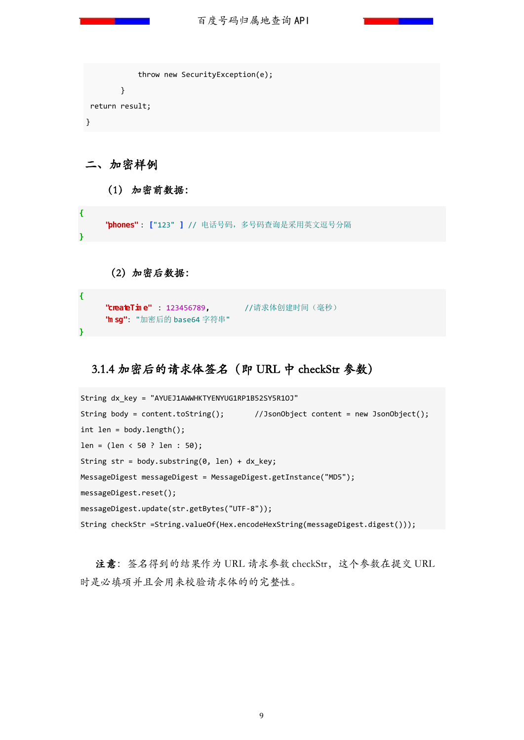百度号码归属地查询 API

```
 throw new SecurityException(e);
         }
return result;
}
```
二、加密样例

**}**

**}**

(1) 加密前数据:

**"phones"** : **[** "123" **]** // 电话号码,多号码查询是采用英文逗号分隔

(2)加密后数据:

```
 "createTime" : 123456789, //请求体创建时间(毫秒)
 "msg" : "加密后的 base64 字符串"
```
## 3.1.4 加密后的请求体签名(即 URL 中 checkStr 参数)

```
String dx_key = "AYUEJ1AWWHKTYENYUG1RP1B52SY5R1OJ"
String body = content.toString(); //JsonObject content = new JsonObject();
int len = body.length();
len = (len < 50 ? len : 50);String str = body.substring(\theta, len) + dx key;
MessageDigest messageDigest = MessageDigest.getInstance("MD5");
messageDigest.reset();
messageDigest.update(str.getBytes("UTF-8"));
String checkStr =String.valueOf(Hex.encodeHexString(messageDigest.digest()));
```
注意:签名得到的结果作为 URL 请求参数 checkStr, 这个参数在提交 URL 时是必填项并且会用来校验请求体的的完整性。